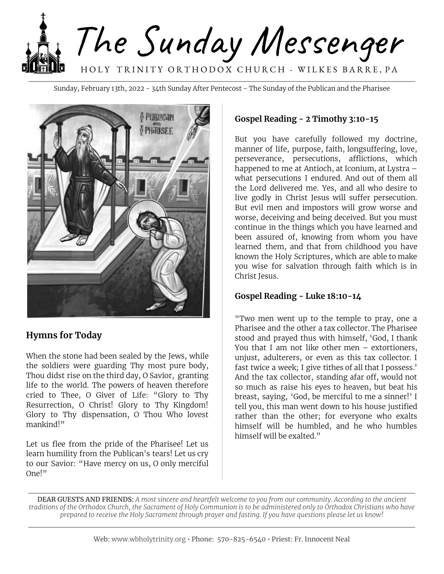

Sunday, February 13th, 2022 - 34th Sunday After Pentecost - The Sunday of the Publican and the Pharisee



#### **Hymns for Today**

When the stone had been sealed by the Jews, while the soldiers were guarding Thy most pure body, Thou didst rise on the third day, O Savior, granting life to the world. The powers of heaven therefore cried to Thee, O Giver of Life: "Glory to Thy Resurrection, O Christ! Glory to Thy Kingdom! Glory to Thy dispensation, O Thou Who lovest mankind!"

Let us flee from the pride of the Pharisee! Let us learn humility from the Publican's tears! Let us cry to our Savior: "Have mercy on us, O only merciful One!"

#### **Gospel Reading - 2 Timothy 3:10-15**

But you have carefully followed my doctrine, manner of life, purpose, faith, longsuffering, love, perseverance, persecutions, afflictions, which happened to me at Antioch, at Iconium, at Lystra – what persecutions I endured. And out of them all the Lord delivered me. Yes, and all who desire to live godly in Christ Jesus will suffer persecution. But evil men and impostors will grow worse and worse, deceiving and being deceived. But you must continue in the things which you have learned and been assured of, knowing from whom you have learned them, and that from childhood you have known the Holy Scriptures, which are able to make you wise for salvation through faith which is in Christ Jesus.

#### **Gospel Reading - Luke 18:10-14**

"Two men went up to the temple to pray, one a Pharisee and the other a tax collector. The Pharisee stood and prayed thus with himself, 'God, I thank You that I am not like other men – extortioners, unjust, adulterers, or even as this tax collector. I fast twice a week; I give tithes of all that I possess.' And the tax collector, standing afar off, would not so much as raise his eyes to heaven, but beat his breast, saying, 'God, be merciful to me a sinner!' I tell you, this man went down to his house justified rather than the other; for everyone who exalts himself will be humbled, and he who humbles himself will be exalted."

DEAR GUESTS AND FRIENDS: A most sincere and heartfelt welcome to you from our community. According to the ancient traditions of the Orthodox Church, the Sacrament of Holy Communion is to be administered only to Orthodox Christians who have prepared to receive the Holy Sacrament through prayer and fasting. If you have questions please let us know!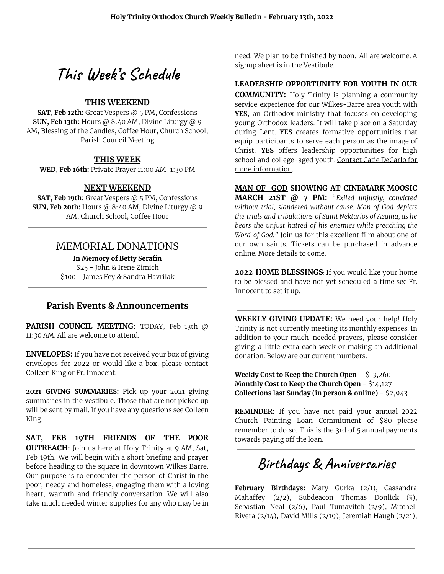# **This Week' s Schedule**

#### **THIS WEEKEND**

**SAT, Feb 12th:** Great Vespers @ 5 PM, Confessions **SUN, Feb 13th:** Hours @ 8:40 AM, Divine Liturgy @ 9 AM, Blessing of the Candles, Coffee Hour, Church School, Parish Council Meeting

#### **THIS WEEK**

**WED, Feb 16th:** Private Prayer 11:00 AM-1:30 PM

#### **NEXT WEEKEND**

**SAT, Feb 19th:** Great Vespers @ 5 PM, Confessions **SUN, Feb 20th:** Hours @ 8:40 AM, Divine Liturgy @ 9 AM, Church School, Coffee Hour

### MEMORIAL DONATIONS

**In Memory of Betty Serafin** \$25 - John & Irene Zimich \$100 - James Fey & Sandra Havrilak

#### **Parish Events & Announcements**

**PARISH COUNCIL MEETING:** TODAY, Feb 13th @ 11:30 AM. All are welcome to attend.

**ENVELOPES:** If you have not received your box of giving envelopes for 2022 or would like a box, please contact Colleen King or Fr. Innocent.

**2021 GIVING SUMMARIES:** Pick up your 2021 giving summaries in the vestibule. Those that are not picked up will be sent by mail. If you have any questions see Colleen King.

**SAT, FEB 19TH FRIENDS OF THE POOR OUTREACH:** Join us here at Holy Trinity at 9 AM, Sat, Feb 19th. We will begin with a short briefing and prayer before heading to the square in downtown Wilkes Barre. Our purpose is to encounter the person of Christ in the poor, needy and homeless, engaging them with a loving heart, warmth and friendly conversation. We will also take much needed winter supplies for any who may be in

need. We plan to be finished by noon. All are welcome. A signup sheet is in the Vestibule.

#### **LEADERSHIP OPPORTUNITY FOR YOUTH IN OUR**

**COMMUNITY:** Holy Trinity is planning a community service experience for our Wilkes-Barre area youth with **YES**, an Orthodox ministry that focuses on developing young Orthodox leaders. It will take place on a Saturday during Lent. **YES** creates formative opportunities that equip participants to serve each person as the image of Christ. **YES** offers leadership opportunities for high school and college-aged youth. Contact Catie DeCarlo for more information.

**MAN OF GOD SHOWING AT CINEMARK MOOSIC MARCH 21ST @ 7 PM:** "*Exiled unjustly, convicted without trial, slandered without cause. Man of God depicts the trials and tribulations of Saint Nektarios of Aegina, as he bears the unjust hatred of his enemies while preaching the Word of God."* Join us for this excellent film about one of our own saints. Tickets can be purchased in advance online. More details to come.

**2022 HOME BLESSINGS***:* If you would like your home to be blessed and have not yet scheduled a time see Fr. Innocent to set it up.

**WEEKLY GIVING UPDATE:** We need your help! Holy Trinity is not currently meeting its monthly expenses. In addition to your much-needed prayers, please consider giving a little extra each week or making an additional donation. Below are our current numbers.

**Weekly Cost to Keep the Church Open** - \$ 3,260 **Monthly Cost to Keep the Church Open** - \$14,127 **Collections last Sunday (in person & online)** - \$2,943

**REMINDER:** If you have not paid your annual 2022 Church Painting Loan Commitment of \$80 please remember to do so. This is the 3rd of 5 annual payments towards paying off the loan.

## **Birthdays & Anniversaries**

**February Birthdays:** Mary Gurka (2/1), Cassandra Mahaffey (2/2), Subdeacon Thomas Donlick (⅖), Sebastian Neal (2/6), Paul Tumavitch (2/9), Mitchell Rivera (2/14), David Mills (2/19), Jeremiah Haugh (2/21),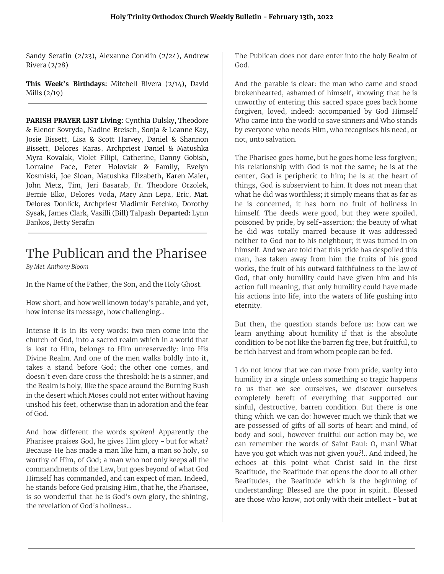Sandy Serafin (2/23), Alexanne Conklin (2/24), Andrew Rivera (2/28)

**This Week's Birthdays:** Mitchell Rivera (2/14), David Mills (2/19)

**PARISH PRAYER LIST Living:** Cynthia Dulsky, Theodore & Elenor Sovryda, Nadine Breisch, Sonja & Leanne Kay, Josie Bissett, Lisa & Scott Harvey, Daniel & Shannon Bissett, Delores Karas, Archpriest Daniel & Matushka Myra Kovalak, Violet Filipi, Catherine, Danny Gobish, Lorraine Pace, Peter Holoviak & Family, Evelyn Kosmiski, Joe Sloan, Matushka Elizabeth, Karen Maier, John Metz, Tim, Jeri Basarab, Fr. Theodore Orzolek, Bernie Elko, Delores Voda, Mary Ann Lepa, Eric, Mat. Delores Donlick, Archpriest Vladimir Fetchko, Dorothy Sysak, James Clark, Vasilli (Bill) Talpash **Departed:** Lynn Bankos, Betty Serafin

## The Publican and the Pharisee

*By Met. Anthony Bloom*

In the Name of the Father, the Son, and the Holy Ghost.

How short, and how well known today's parable, and yet, how intense its message, how challenging...

Intense it is in its very words: two men come into the church of God, into a sacred realm which in a world that is lost to Him, belongs to Him unreservedly: into His Divine Realm. And one of the men walks boldly into it, takes a stand before God; the other one comes, and doesn't even dare cross the threshold: he is a sinner, and the Realm is holy, like the space around the Burning Bush in the desert which Moses could not enter without having unshod his feet, otherwise than in adoration and the fear of God.

And how different the words spoken! Apparently the Pharisee praises God, he gives Him glory - but for what? Because He has made a man like him, a man so holy, so worthy of Him, of God; a man who not only keeps all the commandments of the Law, but goes beyond of what God Himself has commanded, and can expect of man. Indeed, he stands before God praising Him, that he, the Pharisee, is so wonderful that he is God's own glory, the shining, the revelation of God's holiness...

The Publican does not dare enter into the holy Realm of God.

And the parable is clear: the man who came and stood brokenhearted, ashamed of himself, knowing that he is unworthy of entering this sacred space goes back home forgiven, loved, indeed: accompanied by God Himself Who came into the world to save sinners and Who stands by everyone who needs Him, who recognises his need, or not, unto salvation.

The Pharisee goes home, but he goes home less forgiven; his relationship with God is not the same; he is at the center, God is peripheric to him; he is at the heart of things, God is subservient to him. It does not mean that what he did was worthless; it simply means that as far as he is concerned, it has born no fruit of holiness in himself. The deeds were good, but they were spoiled, poisoned by pride, by self-assertion; the beauty of what he did was totally marred because it was addressed neither to God nor to his neighbour; it was turned in on himself. And we are told that this pride has despoiled this man, has taken away from him the fruits of his good works, the fruit of his outward faithfulness to the law of God, that only humility could have given him and his action full meaning, that only humility could have made his actions into life, into the waters of life gushing into eternity.

But then, the question stands before us: how can we learn anything about humility if that is the absolute condition to be not like the barren fig tree, but fruitful, to be rich harvest and from whom people can be fed.

I do not know that we can move from pride, vanity into humility in a single unless something so tragic happens to us that we see ourselves, we discover ourselves completely bereft of everything that supported our sinful, destructive, barren condition. But there is one thing which we can do: however much we think that we are possessed of gifts of all sorts of heart and mind, of body and soul, however fruitful our action may be, we can remember the words of Saint Paul: O, man! What have you got which was not given you?!.. And indeed, he echoes at this point what Christ said in the first Beatitude, the Beatitude that opens the door to all other Beatitudes, the Beatitude which is the beginning of understanding: Blessed are the poor in spirit... Blessed are those who know, not only with their intellect - but at